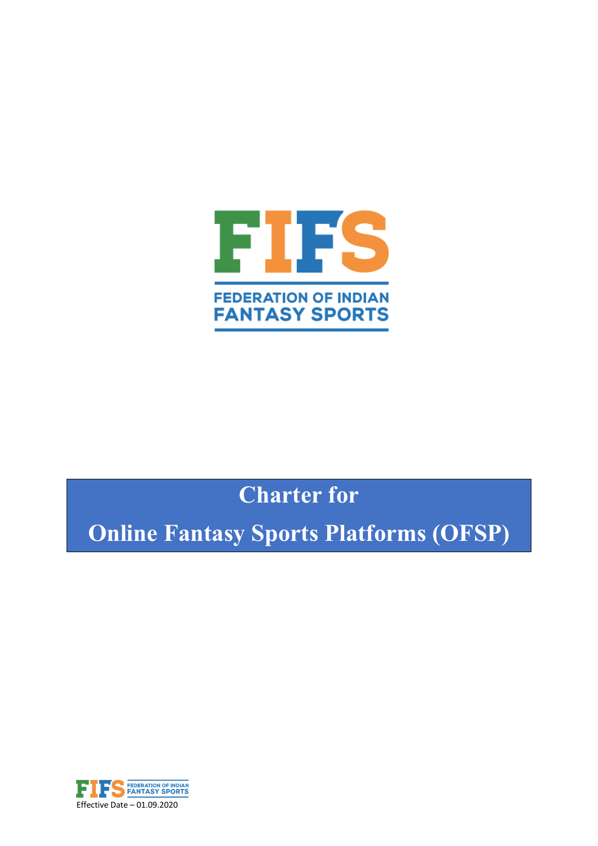

# **Charter for**

# **Online Fantasy Sports Platforms (OFSP)**

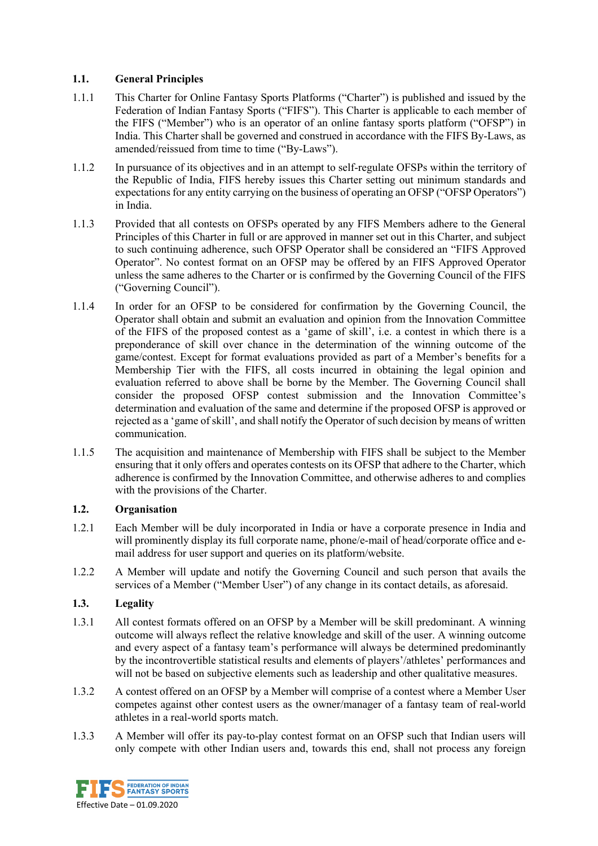# **1.1. General Principles**

- 1.1.1 This Charter for Online Fantasy Sports Platforms ("Charter") is published and issued by the Federation of Indian Fantasy Sports ("FIFS"). This Charter is applicable to each member of the FIFS ("Member") who is an operator of an online fantasy sports platform ("OFSP") in India. This Charter shall be governed and construed in accordance with the FIFS By-Laws, as amended/reissued from time to time ("By-Laws").
- 1.1.2 In pursuance of its objectives and in an attempt to self-regulate OFSPs within the territory of the Republic of India, FIFS hereby issues this Charter setting out minimum standards and expectations for any entity carrying on the business of operating an OFSP ("OFSP Operators") in India.
- 1.1.3 Provided that all contests on OFSPs operated by any FIFS Members adhere to the General Principles of this Charter in full or are approved in manner set out in this Charter, and subject to such continuing adherence, such OFSP Operator shall be considered an "FIFS Approved Operator". No contest format on an OFSP may be offered by an FIFS Approved Operator unless the same adheres to the Charter or is confirmed by the Governing Council of the FIFS ("Governing Council").
- 1.1.4 In order for an OFSP to be considered for confirmation by the Governing Council, the Operator shall obtain and submit an evaluation and opinion from the Innovation Committee of the FIFS of the proposed contest as a 'game of skill', i.e. a contest in which there is a preponderance of skill over chance in the determination of the winning outcome of the game/contest. Except for format evaluations provided as part of a Member's benefits for a Membership Tier with the FIFS, all costs incurred in obtaining the legal opinion and evaluation referred to above shall be borne by the Member. The Governing Council shall consider the proposed OFSP contest submission and the Innovation Committee's determination and evaluation of the same and determine if the proposed OFSP is approved or rejected as a 'game of skill', and shall notify the Operator of such decision by means of written communication.
- 1.1.5 The acquisition and maintenance of Membership with FIFS shall be subject to the Member ensuring that it only offers and operates contests on its OFSP that adhere to the Charter, which adherence is confirmed by the Innovation Committee, and otherwise adheres to and complies with the provisions of the Charter.

# **1.2. Organisation**

- 1.2.1 Each Member will be duly incorporated in India or have a corporate presence in India and will prominently display its full corporate name, phone/e-mail of head/corporate office and email address for user support and queries on its platform/website.
- 1.2.2 A Member will update and notify the Governing Council and such person that avails the services of a Member ("Member User") of any change in its contact details, as aforesaid.

# **1.3. Legality**

- 1.3.1 All contest formats offered on an OFSP by a Member will be skill predominant. A winning outcome will always reflect the relative knowledge and skill of the user. A winning outcome and every aspect of a fantasy team's performance will always be determined predominantly by the incontrovertible statistical results and elements of players'/athletes' performances and will not be based on subjective elements such as leadership and other qualitative measures.
- 1.3.2 A contest offered on an OFSP by a Member will comprise of a contest where a Member User competes against other contest users as the owner/manager of a fantasy team of real-world athletes in a real-world sports match.
- 1.3.3 A Member will offer its pay-to-play contest format on an OFSP such that Indian users will only compete with other Indian users and, towards this end, shall not process any foreign

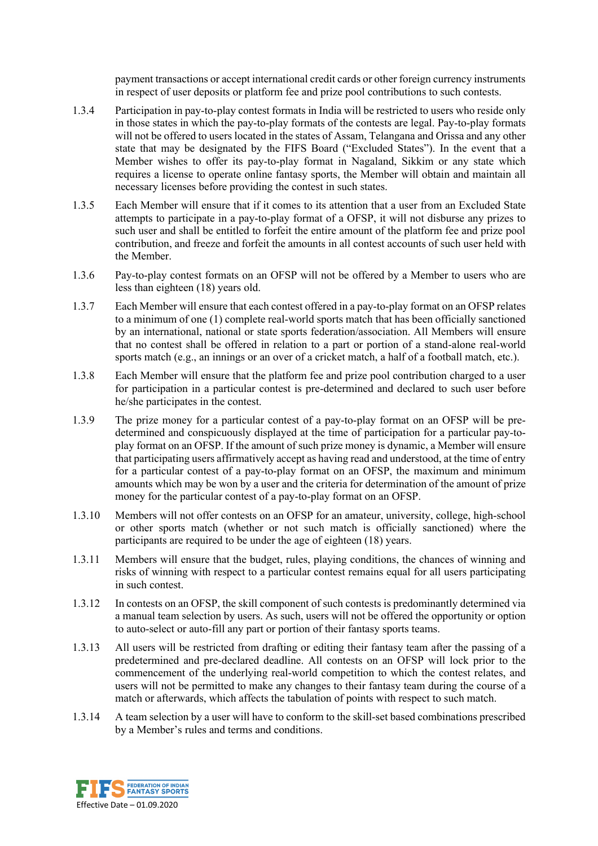payment transactions or accept international credit cards or other foreign currency instruments in respect of user deposits or platform fee and prize pool contributions to such contests.

- 1.3.4 Participation in pay-to-play contest formats in India will be restricted to users who reside only in those states in which the pay-to-play formats of the contests are legal. Pay-to-play formats will not be offered to users located in the states of Assam, Telangana and Orissa and any other state that may be designated by the FIFS Board ("Excluded States"). In the event that a Member wishes to offer its pay-to-play format in Nagaland, Sikkim or any state which requires a license to operate online fantasy sports, the Member will obtain and maintain all necessary licenses before providing the contest in such states.
- 1.3.5 Each Member will ensure that if it comes to its attention that a user from an Excluded State attempts to participate in a pay-to-play format of a OFSP, it will not disburse any prizes to such user and shall be entitled to forfeit the entire amount of the platform fee and prize pool contribution, and freeze and forfeit the amounts in all contest accounts of such user held with the Member.
- 1.3.6 Pay-to-play contest formats on an OFSP will not be offered by a Member to users who are less than eighteen (18) years old.
- 1.3.7 Each Member will ensure that each contest offered in a pay-to-play format on an OFSP relates to a minimum of one (1) complete real-world sports match that has been officially sanctioned by an international, national or state sports federation/association. All Members will ensure that no contest shall be offered in relation to a part or portion of a stand-alone real-world sports match (e.g., an innings or an over of a cricket match, a half of a football match, etc.).
- 1.3.8 Each Member will ensure that the platform fee and prize pool contribution charged to a user for participation in a particular contest is pre-determined and declared to such user before he/she participates in the contest.
- 1.3.9 The prize money for a particular contest of a pay-to-play format on an OFSP will be predetermined and conspicuously displayed at the time of participation for a particular pay-toplay format on an OFSP. If the amount of such prize money is dynamic, a Member will ensure that participating users affirmatively accept as having read and understood, at the time of entry for a particular contest of a pay-to-play format on an OFSP, the maximum and minimum amounts which may be won by a user and the criteria for determination of the amount of prize money for the particular contest of a pay-to-play format on an OFSP.
- 1.3.10 Members will not offer contests on an OFSP for an amateur, university, college, high-school or other sports match (whether or not such match is officially sanctioned) where the participants are required to be under the age of eighteen (18) years.
- 1.3.11 Members will ensure that the budget, rules, playing conditions, the chances of winning and risks of winning with respect to a particular contest remains equal for all users participating in such contest.
- 1.3.12 In contests on an OFSP, the skill component of such contests is predominantly determined via a manual team selection by users. As such, users will not be offered the opportunity or option to auto-select or auto-fill any part or portion of their fantasy sports teams.
- 1.3.13 All users will be restricted from drafting or editing their fantasy team after the passing of a predetermined and pre-declared deadline. All contests on an OFSP will lock prior to the commencement of the underlying real-world competition to which the contest relates, and users will not be permitted to make any changes to their fantasy team during the course of a match or afterwards, which affects the tabulation of points with respect to such match.
- 1.3.14 A team selection by a user will have to conform to the skill-set based combinations prescribed by a Member's rules and terms and conditions.

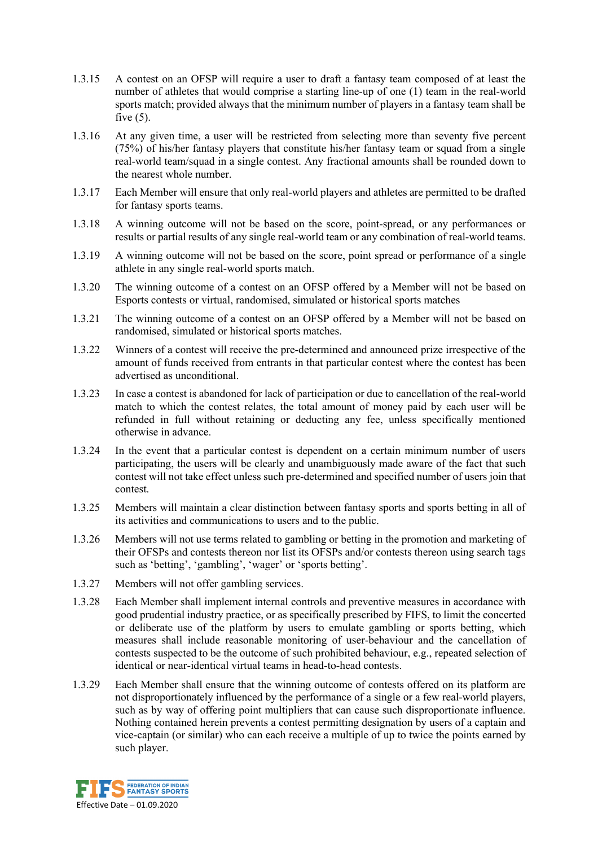- 1.3.15 A contest on an OFSP will require a user to draft a fantasy team composed of at least the number of athletes that would comprise a starting line-up of one (1) team in the real-world sports match; provided always that the minimum number of players in a fantasy team shall be five  $(5)$ .
- 1.3.16 At any given time, a user will be restricted from selecting more than seventy five percent (75%) of his/her fantasy players that constitute his/her fantasy team or squad from a single real-world team/squad in a single contest. Any fractional amounts shall be rounded down to the nearest whole number.
- 1.3.17 Each Member will ensure that only real-world players and athletes are permitted to be drafted for fantasy sports teams.
- 1.3.18 A winning outcome will not be based on the score, point-spread, or any performances or results or partial results of any single real-world team or any combination of real-world teams.
- 1.3.19 A winning outcome will not be based on the score, point spread or performance of a single athlete in any single real-world sports match.
- 1.3.20 The winning outcome of a contest on an OFSP offered by a Member will not be based on Esports contests or virtual, randomised, simulated or historical sports matches
- 1.3.21 The winning outcome of a contest on an OFSP offered by a Member will not be based on randomised, simulated or historical sports matches.
- 1.3.22 Winners of a contest will receive the pre-determined and announced prize irrespective of the amount of funds received from entrants in that particular contest where the contest has been advertised as unconditional.
- 1.3.23 In case a contest is abandoned for lack of participation or due to cancellation of the real-world match to which the contest relates, the total amount of money paid by each user will be refunded in full without retaining or deducting any fee, unless specifically mentioned otherwise in advance.
- 1.3.24 In the event that a particular contest is dependent on a certain minimum number of users participating, the users will be clearly and unambiguously made aware of the fact that such contest will not take effect unless such pre-determined and specified number of users join that contest.
- 1.3.25 Members will maintain a clear distinction between fantasy sports and sports betting in all of its activities and communications to users and to the public.
- 1.3.26 Members will not use terms related to gambling or betting in the promotion and marketing of their OFSPs and contests thereon nor list its OFSPs and/or contests thereon using search tags such as 'betting', 'gambling', 'wager' or 'sports betting'.
- 1.3.27 Members will not offer gambling services.
- 1.3.28 Each Member shall implement internal controls and preventive measures in accordance with good prudential industry practice, or as specifically prescribed by FIFS, to limit the concerted or deliberate use of the platform by users to emulate gambling or sports betting, which measures shall include reasonable monitoring of user-behaviour and the cancellation of contests suspected to be the outcome of such prohibited behaviour, e.g., repeated selection of identical or near-identical virtual teams in head-to-head contests.
- 1.3.29 Each Member shall ensure that the winning outcome of contests offered on its platform are not disproportionately influenced by the performance of a single or a few real-world players, such as by way of offering point multipliers that can cause such disproportionate influence. Nothing contained herein prevents a contest permitting designation by users of a captain and vice-captain (or similar) who can each receive a multiple of up to twice the points earned by such player.

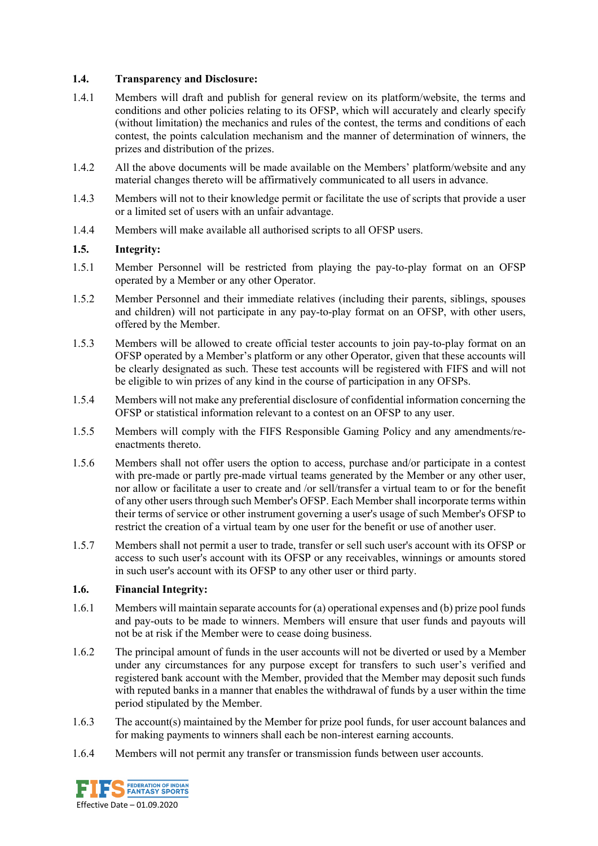#### **1.4. Transparency and Disclosure:**

- 1.4.1 Members will draft and publish for general review on its platform/website, the terms and conditions and other policies relating to its OFSP, which will accurately and clearly specify (without limitation) the mechanics and rules of the contest, the terms and conditions of each contest, the points calculation mechanism and the manner of determination of winners, the prizes and distribution of the prizes.
- 1.4.2 All the above documents will be made available on the Members' platform/website and any material changes thereto will be affirmatively communicated to all users in advance.
- 1.4.3 Members will not to their knowledge permit or facilitate the use of scripts that provide a user or a limited set of users with an unfair advantage.
- 1.4.4 Members will make available all authorised scripts to all OFSP users.

### **1.5. Integrity:**

- 1.5.1 Member Personnel will be restricted from playing the pay-to-play format on an OFSP operated by a Member or any other Operator.
- 1.5.2 Member Personnel and their immediate relatives (including their parents, siblings, spouses and children) will not participate in any pay-to-play format on an OFSP, with other users, offered by the Member.
- 1.5.3 Members will be allowed to create official tester accounts to join pay-to-play format on an OFSP operated by a Member's platform or any other Operator, given that these accounts will be clearly designated as such. These test accounts will be registered with FIFS and will not be eligible to win prizes of any kind in the course of participation in any OFSPs.
- 1.5.4 Members will not make any preferential disclosure of confidential information concerning the OFSP or statistical information relevant to a contest on an OFSP to any user.
- 1.5.5 Members will comply with the FIFS Responsible Gaming Policy and any amendments/reenactments thereto.
- 1.5.6 Members shall not offer users the option to access, purchase and/or participate in a contest with pre-made or partly pre-made virtual teams generated by the Member or any other user, nor allow or facilitate a user to create and /or sell/transfer a virtual team to or for the benefit of any other users through such Member's OFSP. Each Member shall incorporate terms within their terms of service or other instrument governing a user's usage of such Member's OFSP to restrict the creation of a virtual team by one user for the benefit or use of another user.
- 1.5.7 Members shall not permit a user to trade, transfer or sell such user's account with its OFSP or access to such user's account with its OFSP or any receivables, winnings or amounts stored in such user's account with its OFSP to any other user or third party.

#### **1.6. Financial Integrity:**

- 1.6.1 Members will maintain separate accounts for (a) operational expenses and (b) prize pool funds and pay-outs to be made to winners. Members will ensure that user funds and payouts will not be at risk if the Member were to cease doing business.
- 1.6.2 The principal amount of funds in the user accounts will not be diverted or used by a Member under any circumstances for any purpose except for transfers to such user's verified and registered bank account with the Member, provided that the Member may deposit such funds with reputed banks in a manner that enables the withdrawal of funds by a user within the time period stipulated by the Member.
- 1.6.3 The account(s) maintained by the Member for prize pool funds, for user account balances and for making payments to winners shall each be non-interest earning accounts.
- 1.6.4 Members will not permit any transfer or transmission funds between user accounts.